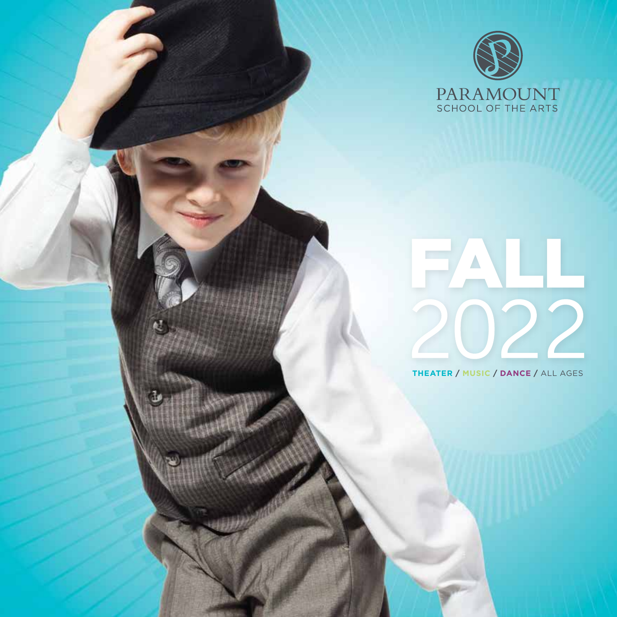

# ALL 722

**THEATER / MUSIC / DANCE /** ALL AGES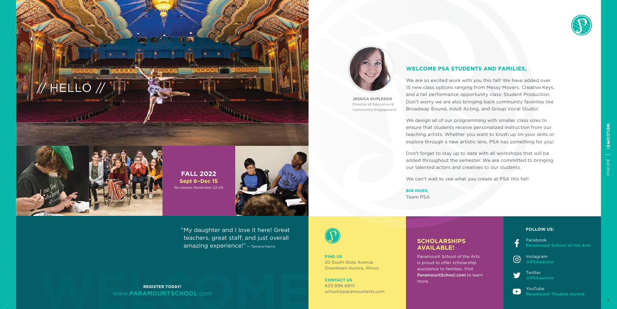





#### **WELCOME PSA STUDENTS AND FAMILIES,**

We are so excited work with you this fall! We have added over 15 new class options ranging from Messy Movers, Creative Keys, and a fall performance opportunity class: Student Production. Don't worry we are also bringing back community favorites like Broadway Bound, Adult Acting, and Group Vocal Studio!

We design all of our programming with smaller class sizes to ensure that students receive personalized instruction from our teaching artists. Whether you want to brush up on your skills or explore through a new artistic lens, PSA has something for you!

Don't forget to stay up to date with all workshops that will be added throughout the semester. We are committed to bringing our talented actors and creatives to our students.

We can't wait to see what you create at PSA this fall!

**BIG HUGS,** Team PSA

**JESSICA DUPLESSIS** Director of Education & Community Engagement

**FIND US** 20 South Stolp Avenue Downtown Aurora, Illinois

**CONTACT US** 630.896.6810 school@paramountarts.com

# **SCHOLARSHIPS**

# **AVAILABLE!**

Paramount School of the Arts is proud to offer scholarship assistance to families. Visit ParamountSchool.com to learn more.



#### **FOLLOW US:**



Facebook **Paramount School of the Arts**



Instagram **@PSAaurora**



Twitter **@PSAaurora**



YouTube **Paramount Theatre Aurora**

"My daughter and I love it here! Great teachers, great staff, and just overall amazing experience!" — Tamara Harris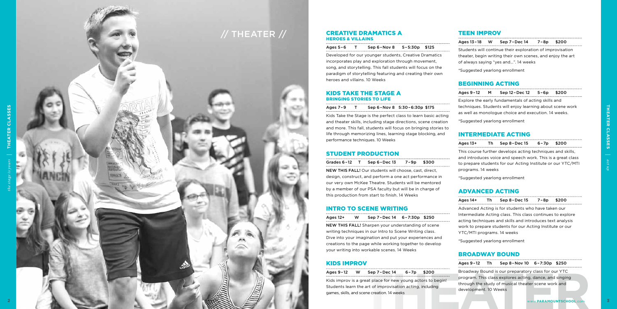#### [TEEN IMPROV](https://go.asapconnected.com/?org=5128#EventID=2126541)

| Ages 13-18 W Sep 7-Dec 14 7-8p                             |  | \$200 |  |
|------------------------------------------------------------|--|-------|--|
| Students will continue their exploration of improvisation  |  |       |  |
| theater, begin writing their own scenes, and enjoy the art |  |       |  |
| of always saying "yes and". 14 weeks                       |  |       |  |
| *Suggested yearlong enrollment                             |  |       |  |
|                                                            |  |       |  |

#### [BEGINNING ACTING](https://go.asapconnected.com/?org=5128#EventID=2126954)

|                                | Ages 9-12 M Sep 12-Dec 12 5-6p                              | \$200 |  |
|--------------------------------|-------------------------------------------------------------|-------|--|
|                                | Explore the early fundamentals of acting skills and         |       |  |
|                                | techniques. Students will enjoy learning about scene work   |       |  |
|                                | as well as monologue choice and execution. 14 weeks.        |       |  |
|                                | *Suggested yearlong enrollment                              |       |  |
|                                |                                                             |       |  |
|                                | <b>INTERMEDIATE ACTING</b>                                  |       |  |
|                                | Th Sep $8$ -Dec $15$ 6-7p                                   | \$200 |  |
|                                | This course further develops acting techniques and skills,  |       |  |
|                                | and introduces voice and speech work. This is a great class |       |  |
| Ages 13+<br>programs. 14 weeks | to prepare students for our Acting Institute or our YTC/MTI |       |  |

#### [ADVANCED ACTING](https://go.asapconnected.com/?org=5128#EventID=2128625)

| Ages 14+                   | Th | Sep 8-Dec 15                                               | 7-8p | \$200 |  |
|----------------------------|----|------------------------------------------------------------|------|-------|--|
|                            |    | Advanced Acting is for students who have taken our         |      |       |  |
|                            |    | Intermediate Acting class. This class continues to explore |      |       |  |
|                            |    | acting techniques and skills and introduces text analysis  |      |       |  |
|                            |    | work to prepare students for our Acting Institute or our   |      |       |  |
| YTC/MTI programs. 14 weeks |    |                                                            |      |       |  |
|                            |    | *Suggested yearlong enrollment                             |      |       |  |

Kids Take the Stage is the perfect class to learn basic acting and theater skills, including stage directions, scene creation and more. This fall, students will focus on bringing stories life through memorizing lines, learning stage blocking, and performance techniques. 10 Weeks

#### [BROADWAY BOUND](https://go.asapconnected.com/?org=5128#EventID=2126461)

#### [CREATIVE DRAMATICS A](https://go.asapconnected.com/?org=5128#EventID=2128052) HEROES & VILLAINS

| <b>KIDS IMPROV</b>                                        |          |                                                             |      | Ages 9-12 Th Sep 8-Nov 10 6-7:30p \$250             |                       |                                                         |                         |
|-----------------------------------------------------------|----------|-------------------------------------------------------------|------|-----------------------------------------------------|-----------------------|---------------------------------------------------------|-------------------------|
| Ages 9-12                                                 | <b>W</b> | Sep 7-Dec 14                                                | 6-7p | \$200                                               |                       | Broadway Bound is our preparatory class for our YTC     |                         |
|                                                           |          | Kids improv is a great place for new young actors to begin! |      |                                                     |                       | program. This class explores acting, dance, and singing |                         |
| Students learn the art of improvisation acting, including |          |                                                             |      | through the study of musical theater scene work and |                       |                                                         |                         |
|                                                           |          | games, skills, and scene creation. 14 weeks                 |      |                                                     | development. 10 Weeks |                                                         |                         |
|                                                           |          |                                                             |      |                                                     |                       |                                                         | www.PARAMOUNTSCHOOL.com |

Ages 5 – 6 T Sep 6 –Nov 8 5 –5:30p \$125 Developed for our younger students, Creative Dramatics incorporates play and exploration through movement, song, and storytelling. This fall students will focus on the paradigm of storytelling featuring and creating their own heroes and villains. 10 Weeks

#### [KIDS TAKE THE STAGE A](https://go.asapconnected.com/?org=5128#EventID=2128061) BRINGING STORIES TO LIFE

| Ages 7-9 |  | Sep 6-Nov 8 5:30-6:30p \$175 |  |
|----------|--|------------------------------|--|
|          |  |                              |  |

#### [STUDENT PRODUCTION](https://go.asapconnected.com/?org=5128#EventID=2128182)

| Grades 6-12 T Sep 6-Dec 13 7-9p \$300 |  |  |
|---------------------------------------|--|--|
|---------------------------------------|--|--|

NEW THIS FALL! Our students will choose, cast, direct, design, construct, and perform a one act performance in our very own McKee Theatre. Students will be mentored by a member of our PSA faculty but will be in charge of this production from start to finish. 14 Weeks

## [INTRO TO SCENE WRITING](https://go.asapconnected.com/?org=5128#EventID=2128182)

| Ages 12+                                                | w | Sep 7-Dec 14 6-7:30p \$250                              |  |  |  |  |
|---------------------------------------------------------|---|---------------------------------------------------------|--|--|--|--|
| NEW THIS FALL! Sharpen your understanding of scene      |   |                                                         |  |  |  |  |
| writing techniques in our Intro to Scene Writing class. |   |                                                         |  |  |  |  |
| Dive into your imagination and put your experiences and |   |                                                         |  |  |  |  |
|                                                         |   | creations to the page while working together to develop |  |  |  |  |

your writing into workable scenes. 14 Weeks



*act up*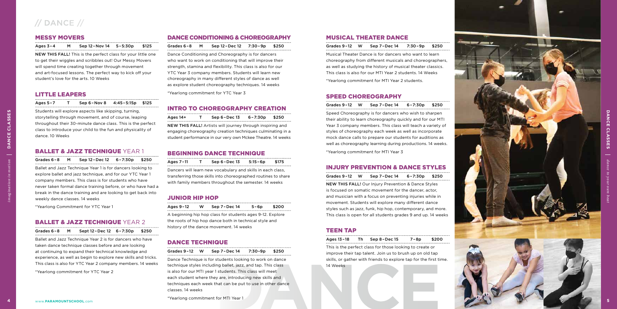#### [MESSY MOVERS](https://go.asapconnected.com/?org=5128#EventID=2126521)

#### Ages 3 – 4 M Sep 12 –Nov 14 5 –5:30p \$125

NEW THIS FALL! This is the perfect class for your little one to get their wiggles and scribbles out! Our Messy Movers will spend time creating together through movement and art-focused lessons. The perfect way to kick off your student's love for the arts. 10 Weeks

#### [LITTLE LEAPERS](https://go.asapconnected.com/?org=5128#EventID=2126927)

Ballet and Jazz Technique Year 1 is for dancers looking to explore ballet and jazz technique, and for our YTC Year 1 company members. This class is for students who have never taken formal dance training before, or who have had a break in the dance training and are looking to get back into weekly dance classes. 14 weeks Students will explore aspect<br>storytelling through movem<br>class to introduce your child<br>dance. 10 Weeks<br>**BALLET & JAZZ TE**<br>Grades 6-8 M Sep 12<br>Ballet and Jazz Technique Y<br>explore ballet and jazz technique Y<br>explore ballet an

Ages 5 –7 T Sep 6 –Nov 8 4:45 –5:15p \$125

Students will explore aspects like skipping, turning, storytelling through movement, and of course, leaping throughout their 30-minute dance class. This is the perfect class to introduce your child to the fun and physicality of dance. 10 Weeks

#### [BALLET & JAZZ TECHNIQUE](https://go.asapconnected.com/?org=5128#EventID=2128039) YEAR 1

Grades 6-8 M Sep 12-Dec 12 6-7:30p \$250

\*Yearlong Commitment for YTC Year 1

#### [BALLET & JAZZ TECHNIQUE](https://go.asapconnected.com/?org=5128#EventID=2128041) YFAR 2

Grades 6-8 M Sept 12-Dec 12 6-7:30p \$250

Ballet and Jazz Technique Year 2 is for dancers who have taken dance technique classes before and are looking at continuing to expand their technical knowledge and experience, as well as begin to explore new skills and tricks. This class is also for YTC Year 2 company members. 14 weeks

\*Yearlong commitment for YTC Year 2

| Sep 7-Dec 14<br>Grades 9-12<br>W<br>7:30-9p<br>\$250         | This is the perfect class for those looking to create or<br>improve their tap talent. Join us to brush up on old tap |
|--------------------------------------------------------------|----------------------------------------------------------------------------------------------------------------------|
| Dance Technique is for students looking to work on dance     | skills, or gather with friends to explore tap for the first till                                                     |
| technique styles including ballet, jazz, and tap. This class | 14 Weeks                                                                                                             |
| is also for our MTI year 1 students. This class will meet    |                                                                                                                      |
| each student where they are, introducing new skills and      |                                                                                                                      |
| techniques each week that can be put to use in other dance   |                                                                                                                      |
| classes, 14 weeks                                            |                                                                                                                      |
| *Yearlong commitment for MTI Year 1                          |                                                                                                                      |
|                                                              |                                                                                                                      |
|                                                              |                                                                                                                      |
|                                                              |                                                                                                                      |

#### [DANCE CONDITIONING & CHOREOGRAPHY](https://go.asapconnected.com/?org=5128#EventID=2128045)

| Grades 6-8 M Sep 12-Dec 12 7:30-9p \$250 |  |  |  |
|------------------------------------------|--|--|--|
|------------------------------------------|--|--|--|

Dance Conditioning and Choreography is for dancers who want to work on conditioning that will improve their strength, stamina and flexibility. This class is also for our YTC Year 3 company members. Students will learn new choreography in many different styles of dance as well as explore student choreography techniques. 14 weeks

> Grades 9-12 W Sep 7-Dec 14 6-7:30p \$250 Speed Choreography is for dancers who wish to sharpen their ability to learn choreography quickly and for our MTI Year 3 company members. This class will teach a variety of styles of choreography each week as well as incorporate mock dance calls to prepare our students for auditions as well as choreography learning during productions. 14 weeks.

\*Yearlong commitment for YTC Year 3

#### [INTRO TO CHOREOGRAPHY CREATION](https://go.asapconnected.com/?org=5128#EventID=2128047)

| Ages 14+                                                   |  | Sep 6-Dec 13                                                | $6 - 7:30p$ | \$250 |  |
|------------------------------------------------------------|--|-------------------------------------------------------------|-------------|-------|--|
|                                                            |  | NEW THIS FALL! Artists will journey through inspiring and   |             |       |  |
| engaging choreography creation techniques culminating in a |  |                                                             |             |       |  |
|                                                            |  | student performance in our very own Mckee Theatre. 14 weeks |             |       |  |

Grades 9-12 W Sep 7-Dec 14 6-7:30p \$250 NEW THIS FALL! Our Injury Prevention & Dance Styles is focused on somatic movement for the dancer, actor, and musician with a focus on preventing injuries while in movement. Students will explore many different dance styles such as jazz, funk, hip hop, contemporary, and more. This class is open for all students grades 9 and up. 14 weeks

#### [BEGINNING DANCE TECHNIQUE](https://go.asapconnected.com/?org=5128#EventID=2128050)

| Ages 7-11                                                   | $\mathbf{T}$ | Sep $6$ - Dec $13$                                             | $5:15 - 6p$ | \$175 |  |
|-------------------------------------------------------------|--------------|----------------------------------------------------------------|-------------|-------|--|
| Dancers will learn new vocabulary and skills in each class, |              |                                                                |             |       |  |
|                                                             |              | transferring those skills into choreographed routines to share |             |       |  |

**DANCE DANCE CLASSES CLASSES** *dance to your own beat*

with family members throughout the semester. 14 weeks

[JUNIOR HIP HOP](https://go.asapconnected.com/?org=5128#EventID=2126577)

| Ages 9-12 | <b>W</b> | Sep 7-Dec 14                | 5-6p | \$200 |  |
|-----------|----------|-----------------------------|------|-------|--|
|           |          | AI III I CILICATO CARA CILI |      |       |  |

A beginning hip hop class for students ages 9-12. Explore the roots of hip hop dance both in technical style and history of the dance movement. 14 weeks

#### [DANCE TECHNIQUE](https://go.asapconnected.com/?org=5128#EventID=2126576)

#### [MUSICAL THEATER DANCE](https://go.asapconnected.com/?org=5128#EventID=2126576)

Grades 9 –12 W Sep 7 –Dec 14 7:30 –9p \$250 Musical Theater Dance is for dancers who want to learn choreography from different musicals and choreographers, as well as studying the history of musical theater classics. This class is also for our MTI Year 2 students. 14 Weeks

\*Yearlong commitment for MTI Year 2 students.

#### [SPEED CHOREOGRAPHY](https://go.asapconnected.com/?org=5128#EventID=2126570)

\*Yearlong commitment for MTI Year 3

#### [INJURY PREVENTION & DANCE STYLES](https://go.asapconnected.com/?org=5128#EventID=2126955)

#### [TEEN TAP](https://go.asapconnected.com/?org=5128#EventID=2126486)

| Ages 13-18 | Sep 8-Dec 15 | 7-8p | \$200 |
|------------|--------------|------|-------|
|            |              |      |       |

This is the perfect class for those looking to create or improve their tap talent. Join us to brush up on old tap skills, or gather with friends to explore tap for the first time. 14 Weeks

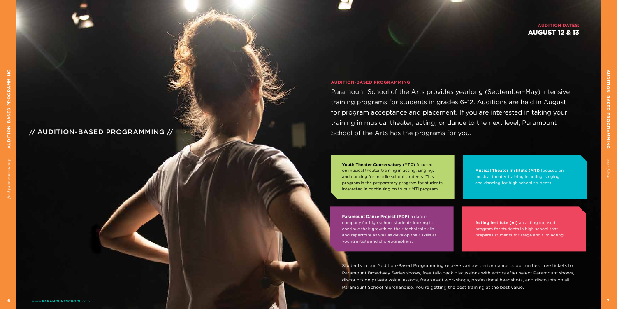**Musical Theater Institute (MTI)** focused on musical theater training in acting, singing, and dancing for high school students.

**Paramount Dance Project (PDP)** a dance company for high school students looking to continue their growth on their technical skills and repertoire as well as develop their skills as young artists and choreographers.

**Acting Institute (AI)** an acting focused program for students in high school that prepares students for stage and film acting.

**Youth Theater Conservatory (YTC)** focused on musical theater training in acting, singing, and dancing for middle school students. This program is the preparatory program for students interested in continuing on to our MTI program.

## // AUDITION-BASED PROGRAMMING //

#### **AUDITION DATES:** AUGUST 12 & 13

Students in our Audition-Based Programming receive various performance opportunities, free tickets to Paramount Broadway Series shows, free talk-back discussions with actors after select Paramount shows, discounts on private voice lessons, free select workshops, professional headshots, and discounts on all Paramount School merchandise. You're getting the best training at the best value.

#### **AUDITION-BASED PROGRAMMING**

Paramount School of the Arts provides yearlong (September–May) intensive training programs for students in grades 6–12. Auditions are held in August for program acceptance and placement. If you are interested in taking your training in musical theater, acting, or dance to the next level, Paramount School of the Arts has the programs for you.

*take flight*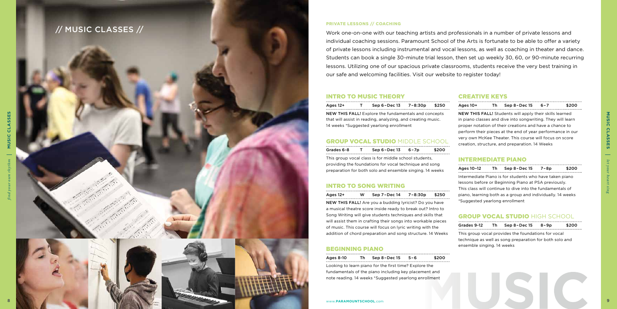#### [INTRO TO MUSIC THEORY](https://go.asapconnected.com/?org=5128#EventID=2128176)

| Grades 6-8 | Sep $6$ – Dec $13$                                    | 6-7p | \$200 |
|------------|-------------------------------------------------------|------|-------|
|            | This group vocal class is for middle school students, |      |       |

providing the foundations for vocal technique and song preparation for both solo and ensemble singing. 14 weeks

#### [INTRO TO SONG WRITING](https://go.asapconnected.com/?org=5128#EventID=2126555)

| Ages 12+ | W. | Sep 7-Dec 14 7-8:30p                                          | \$250 |
|----------|----|---------------------------------------------------------------|-------|
|          |    | <b>NEW THIS FALL!</b> Are you a budding lyricist? Do you have |       |
|          |    | a musical theatre score inside ready to break out? Intro to   |       |
|          |    | Song Writing will give students techniques and skills that    |       |
|          |    | will assist them in crafting their songs into workable pieces |       |
|          |    | of music. This course will focus on lyric writing with the    |       |

addition of chord preparation and song structure. 14 Weeks

#### [BEGINNING PIANO](https://go.asapconnected.com/?org=5128#EventID=2126525)

| Ages 8-10 | Sep 8-Dec 15 |  |
|-----------|--------------|--|

6 \$200

Looking to learn piano for the first time? Explore the fundamentals of the piano including key placement and note reading. 14 weeks \*Suggested yearlong enrollment

| Ages 12+ | Sep $6$ - Dec $13$                                          | 7-8:30p | \$250 | Ages 10+                                                   | Τh | Sep 8 - Dec 15                                                 | $6 - 7$ | \$200 |
|----------|-------------------------------------------------------------|---------|-------|------------------------------------------------------------|----|----------------------------------------------------------------|---------|-------|
|          | <b>NEW THIS FALL!</b> Explore the fundamentals and concepts |         |       |                                                            |    | <b>NEW THIS FALL!</b> Students will apply their skills learned |         |       |
|          | that will assist in reading, analyzing, and creating music. |         |       |                                                            |    | in piano classes and dive into songwriting. They will learn    |         |       |
|          | 14 weeks *Suggested yearlong enrollment                     |         |       | proper notation of their creations and have a chance to    |    |                                                                |         |       |
|          |                                                             |         |       | perform their pieces at the end of year performance in our |    |                                                                |         |       |
|          | <b>GROUP VOCAL STUDIO MIDDLE SCHOOL</b>                     |         |       |                                                            |    | very own McKee Theater. This course will focus on score        |         |       |
|          |                                                             |         |       |                                                            |    | creation, structure, and preparation. 14 Weeks                 |         |       |



Work one-on-one with our teaching artists and professionals in a number of private lessons and individual coaching sessions. Paramount School of the Arts is fortunate to be able to offer a variety of private lessons including instrumental and vocal lessons, as well as coaching in theater and dance. Students can book a single 30-minute trial lesson, then set up weekly 30, 60, or 90-minute recurring lessons. Utilizing one of our spacious private classrooms, students receive the very best training in our safe and welcoming facilities. Visit our website to register today!

#### [CREATIVE KEYS](https://go.asapconnected.com/?org=5128#EventID=2126518)

#### [INTERMEDIATE PIANO](https://go.asapconnected.com/?org=5128#EventID=2126470)

| Ages 10–12 Th | Sep 8-Dec 15                                               | 7-8p | \$200 |
|---------------|------------------------------------------------------------|------|-------|
|               | Intermediate Piano is for students who have taken piano    |      |       |
|               | lessons before or Beginning Piano at PSA previously.       |      |       |
|               | This class will continue to dive into the fundamentals of  |      |       |
|               | piano, learning both as a group and individually. 14 weeks |      |       |
|               |                                                            |      |       |

## [GROUP VOCAL STUDIO](https://go.asapconnected.com/?org=5128#EventID=2126441) HIGH SCHOOL

| Grades 9-12                                             |  | Th Sep 8-Dec 15 8-9p                                |  | \$200 |  |  |  |
|---------------------------------------------------------|--|-----------------------------------------------------|--|-------|--|--|--|
|                                                         |  | This group vocal provides the foundations for vocal |  |       |  |  |  |
| technique as well as song preparation for both solo and |  |                                                     |  |       |  |  |  |
| ensemble singing. 14 weeks                              |  |                                                     |  |       |  |  |  |

#### **PRIVATE LESSONS // COACHING**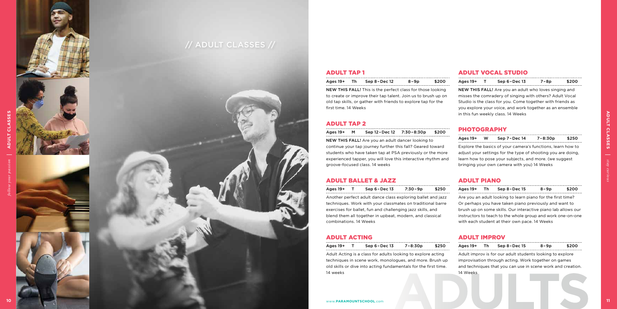#### [ADULT TAP 1](https://go.asapconnected.com/?org=5128#EventID=2126477)

#### [ADULT TAP 2](https://go.asapconnected.com/?org=5128#EventID=2126876)

| Ages 19+ M | Sep 12-Dec 12 7:30-8:30p \$200 |  |
|------------|--------------------------------|--|
|            |                                |  |

NEW THIS FALL! Are you an adult dancer looking to continue your tap journey further this fall? Geared toward students who have taken tap at PSA previously or the mo experienced tapper, you will love this interactive rhythm groove-focused class. 14 weeks

#### [ADULT BALLET & JAZZ](https://go.asapconnected.com/?org=5128#EventID=2128068)

| Ages 19+             | Sep 8-Dec 12                                                      | 8-9p | \$200 | Ages 19+                                                     | Sep $6$ - Dec $13$                                         | 7-8p | \$200 |
|----------------------|-------------------------------------------------------------------|------|-------|--------------------------------------------------------------|------------------------------------------------------------|------|-------|
|                      | <b>NEW THIS FALL!</b> This is the perfect class for those looking |      |       | <b>NEW THIS FALL!</b> Are you an adult who loves singing and |                                                            |      |       |
|                      | to create or improve their tap talent. Join us to brush up on     |      |       |                                                              | misses the comradery of singing with others? Adult Vocal   |      |       |
|                      | old tap skills, or gather with friends to explore tap for the     |      |       |                                                              | Studio is the class for you. Come together with friends as |      |       |
| first time, 14 Weeks |                                                                   |      |       |                                                              | you explore your voice, and work together as an ensemble   |      |       |
|                      |                                                                   |      |       |                                                              | in this fun weekly class. 14 Weeks                         |      |       |

# [ADULT ACTING](https://go.asapconnected.com/?org=5128#EventID=2128063)

| Ages 19+ | $Sep 6-Dec 13$                                                                                                                                                                              | 7-8:30p | \$250 | Ages 19+ | Th. | $Sep 8-Dec 15$                                                                                                                                                                   | 8-9p | \$200 |
|----------|---------------------------------------------------------------------------------------------------------------------------------------------------------------------------------------------|---------|-------|----------|-----|----------------------------------------------------------------------------------------------------------------------------------------------------------------------------------|------|-------|
|          | Adult Acting is a class for adults looking to explore acting<br>techniques in scene work, monologues, and more. Brush up<br>old skills or dive into acting fundamentals for the first time. |         |       |          |     | Adult improv is for our adult students looking to explore<br>improvisation through acting. Work together on games<br>and techniques that you can use in scene work and creation. |      |       |
| 14 weeks |                                                                                                                                                                                             |         |       | 14 Weeks |     |                                                                                                                                                                                  |      |       |
|          | www.PARAMOUNTSCHOOL.com                                                                                                                                                                     |         |       |          |     |                                                                                                                                                                                  |      |       |

## [ADULT VOCAL STUDIO](https://go.asapconnected.com/?org=5128#EventID=2128154)

| Ages 19+                                                                                                             |  | Sep $6$ - Dec $13$                                          | 7:30 - 9p | \$250 | Ages 19+ |                                                             | Sep 8-Dec 15                                                  | 8-9p | \$200 |  |
|----------------------------------------------------------------------------------------------------------------------|--|-------------------------------------------------------------|-----------|-------|----------|-------------------------------------------------------------|---------------------------------------------------------------|------|-------|--|
|                                                                                                                      |  | Another perfect adult dance class exploring ballet and jazz |           |       |          |                                                             | Are you an adult looking to learn piano for the first time?   |      |       |  |
| techniques. Work with your classmates on traditional barre<br>Or perhaps you have taken piano previously and want to |  |                                                             |           |       |          |                                                             |                                                               |      |       |  |
|                                                                                                                      |  | exercises for ballet, fun and challenging jazz skills, and  |           |       |          |                                                             | brush up on some skills. Our interactive piano lab allows our |      |       |  |
| blend them all together in upbeat, modern, and classical                                                             |  |                                                             |           |       |          | instructors to teach to the whole group and work one-on-one |                                                               |      |       |  |
| combinations, 14 Weeks                                                                                               |  |                                                             |           |       |          |                                                             | with each student at their own pace. 14 Weeks                 |      |       |  |

#### [PHOTOGRAPHY](https://go.asapconnected.com/?org=5128#EventID=2126545)

| - - |                                                        |                                                              |                                                             |         |       |  |  |  |  |
|-----|--------------------------------------------------------|--------------------------------------------------------------|-------------------------------------------------------------|---------|-------|--|--|--|--|
|     | Ages 19+                                               | <b>W</b>                                                     | Sep 7-Dec 14                                                | 7-8:30p | \$250 |  |  |  |  |
| 'n  |                                                        |                                                              | Explore the basics of your camera's functions, learn how to |         |       |  |  |  |  |
| ore |                                                        | adjust your settings for the type of shooting you are doing. |                                                             |         |       |  |  |  |  |
| and | learn how to pose your subjects, and more. (we suggest |                                                              |                                                             |         |       |  |  |  |  |
|     |                                                        |                                                              | bringing your own camera with you) 14 Weeks                 |         |       |  |  |  |  |

## [ADULT PIANO](https://go.asapconnected.com/?org=5128#EventID=2126466)

#### [ADULT IMPROV](https://go.asapconnected.com/?org=5128#EventID=2126420)

# // ADULT CLASSES //





**SSE** 



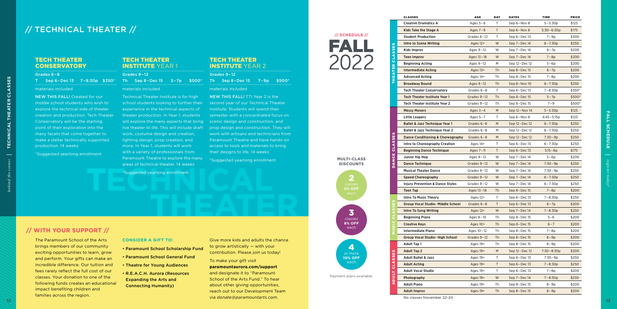| Payment plans available |  |
|-------------------------|--|
|                         |  |

#### TECH THEATER **CONSERVATORY**

#### TECH THEATER **INSTITUTE YEAR 1**

|                                                                          |                                                                                           |                                                                                    |                                      | <b>CLASSES</b>                              | <b>AGE</b>   | <b>DAY</b> | <b>DATES</b>    | <b>TIME</b>    | PRICE  |
|--------------------------------------------------------------------------|-------------------------------------------------------------------------------------------|------------------------------------------------------------------------------------|--------------------------------------|---------------------------------------------|--------------|------------|-----------------|----------------|--------|
|                                                                          |                                                                                           |                                                                                    |                                      | <b>Creative Dramatics A</b>                 | Ages $5-6$   |            | Sep 6 - Nov 8   | $5 - 5:30p$    | \$125  |
| // TECHNICAL THEATER //                                                  |                                                                                           |                                                                                    |                                      | Kids Take the Stage A                       | Ages $7-9$   |            | Sep 6-Nov 8     | $5:30 - 6:30p$ | \$175  |
|                                                                          |                                                                                           |                                                                                    | $\frac{1}{2}$ SCHEDULE $\frac{1}{2}$ | <b>Student Production</b>                   | Grades 6-12  |            | Sep 6 - Dec 13  | $7 - 9p$       | \$300  |
|                                                                          |                                                                                           |                                                                                    | FALL                                 | Intro to Scene Writing                      | Ages 12+     | W          | Sep 7-Dec 14    | $6 - 7:30p$    | \$250  |
|                                                                          |                                                                                           |                                                                                    |                                      | <b>Kids Improv</b>                          | Ages 9-12    |            | Sep 7-Dec 14    | $6 - 7p$       | \$200  |
| <b>TECH THEATER</b>                                                      | <b>TECH THEATER</b>                                                                       | <b>TECH THEATER</b>                                                                |                                      | <b>Teen Improv</b>                          | Ages 13-18   | W          | Sep 7-Dec 14    | $7-8p$         | \$200  |
| <b>CONSERVATORY</b>                                                      | <b>INSTITUTE YEAR 1</b>                                                                   | <b>INSTITUTE YEAR 2</b>                                                            |                                      | <b>Beginning Acting</b>                     | Ages 9-12    | M          | Sep 12 - Dec 12 | $5-6p$         | \$200  |
|                                                                          |                                                                                           |                                                                                    |                                      | <b>Intermediate Acting</b>                  | Ages $13+$   | Th.        | Sep 8-Dec 15    | $6 - 7p$       | \$200  |
| Grades 6-8<br>T Sep 6-Dec 13 7-8:30p \$350*                              | Grades 9-12<br>Th Sep 8-Dec $15 - 5 - 7p$ \$500*                                          | Grades 9-12<br>Th Sep $8$ -Dec $15$ $7$ - $9p$<br>$$500*$                          |                                      | <b>Advanced Acting</b>                      | Ages 14+     | Th         | Sep 8-Dec 15    | 7-8p           | \$200  |
|                                                                          |                                                                                           |                                                                                    |                                      | <b>Broadway Bound</b>                       | Ages 9-12    | - Th       | Sep 8-Nov 10    | $6 - 7:30p$    | \$250  |
| materials included                                                       | materials included                                                                        | materials included                                                                 |                                      | <b>Tech Theater Conservatory</b>            | Grades 6-8   |            | Sep 6 - Dec 13  | $7 - 8:30p$    | \$350* |
| <b>NEW THIS FALL!</b> Created for our                                    | Technical Theater Institute is for high                                                   | NEW THIS FALL! TTI Year 2 is the                                                   |                                      | Tech Theater Institute Year 1               | Grades 9-12  | - Th       | Sep 8-Dec 15    | $5 - 7p$       | \$500* |
| middle school students who wish to                                       | school students looking to further their                                                  | second year of our Technical Theater                                               |                                      | Tech Theater Institute Year 2               | Grades 9-12  | Th         | Sep 8-Dec 15    | $7 - 9$        | \$500* |
| explore the technical side of theater                                    | experience in the technical aspects of                                                    | Institute. Students will spend their                                               |                                      | <b>Messy Movers</b>                         | Ages $3 - 4$ | M          | Sep 12 - Nov 14 | $5 - 5:30p$    | \$125  |
| creation and production. Tech Theater                                    | theater production. In Year 1, students                                                   | semester with a concentrated focus on                                              |                                      | <b>Little Leapers</b>                       | Ages $5 - 7$ |            | Sep 6-Nov 8     | $4:45 - 5:15p$ | \$125  |
| Conservatory will be the starting                                        | will explore the many aspects that bring<br>live theater to life. This will include draft | scenic design and construction, and                                                |                                      | Ballet & Jazz Technique Year 1              | Grades 6-8   |            | Sep 12 - Dec 12 | $6 - 7:30p$    | \$250  |
| point of their exploration into the<br>many facets that come together to | work, costume design and creation,                                                        | prop design and construction. They will<br>work with artisans and technicians from |                                      | Ballet & Jazz Technique Year 2              | Grades 6-8   |            | Sep 12 - Dec 12 | $6 - 7:30p$    | \$250  |
| make a stellar technically supported                                     | lighting design, prop creation, and                                                       | Paramount Theatre and have hands-on                                                |                                      | Dance Conditioning & Choreography           | Grades 6-8   | M          | Sep 12 - Dec 12 | $7:30 - 9p$    | \$250  |
| production. 14 weeks                                                     | more. In Year 1, students will work                                                       | access to tools and materials to bring                                             |                                      | Intro to Choreography Creation              | Ages 14+     |            | Sep 6 - Dec 13  | $6 - 7:30p$    | \$250  |
|                                                                          | with a variety of professionals from                                                      | their designs to life. 14 weeks                                                    |                                      | <b>Beginning Dance Technique</b>            | Ages 7-11    |            | Sep 6 - Dec 13  | $5:15-6p$      | \$175  |
| *Suggested yearlong enrollment                                           | Paramount Theatre to explore the many                                                     | *Suggested yearlong enrollment                                                     | <b>MULTI-CLASS</b>                   | Junior Hip Hop                              | Ages 9-12    | - W        | Sep 7 - Dec 14  | $5-6p$         | \$200  |
|                                                                          | areas of technical theater. 14 weeks                                                      |                                                                                    | <b>DISCOUNTS</b>                     | <b>Dance Technique</b>                      | Grades 9-12  | - W        | Sep 7 - Dec 14  | $7:30 - 9p$    | \$250  |
|                                                                          | *Suggested yearlong enrollment                                                            |                                                                                    |                                      | <b>Musical Theater Dance</b>                | Grades 9-12  | - W        | Sep 7 - Dec 14  | $7:30 - 9p$    | \$250  |
|                                                                          |                                                                                           |                                                                                    | $\vert 2 \vert$                      | <b>Speed Choreography</b>                   | Grades 9-12  | <b>W</b>   | Sep 7 - Dec 14  | $6 - 7:30p$    | \$250  |
|                                                                          |                                                                                           |                                                                                    | classes                              | <b>Injury Prevention &amp; Dance Styles</b> | Grades 9-12  | - W        | Sep 7 - Dec 14  | $6 - 7:30p$    | \$250  |
|                                                                          |                                                                                           |                                                                                    | <b>5% OFF</b><br>each                | <b>Teen Tap</b>                             | Ages 13-18   | - Th       | Sep 8-Dec 15    | $7-8p$         | \$200  |
|                                                                          |                                                                                           |                                                                                    |                                      | <b>Intro To Music Theory</b>                | Ages 12+     |            | Sep 6 - Dec 13  | $7 - 8:30p$    | \$250  |
|                                                                          |                                                                                           |                                                                                    |                                      | <b>Group Vocal Studio- Middle School</b>    | Grades 6-8   |            | Sep 6 - Dec 13  | $6 - 7p$       | \$200  |
|                                                                          |                                                                                           |                                                                                    | 3                                    | <b>Intro To Song Writing</b>                | Ages 12+     | W          | Sep 7 - Dec 14  | $7 - 8:30p$    | \$250  |
|                                                                          |                                                                                           |                                                                                    | classes                              | <b>Beginning Piano</b>                      | Ages 8-10    | Th         | Sep 8-Dec 15    | $5 - 6$        | \$200  |
|                                                                          |                                                                                           |                                                                                    | <b>8% OFF</b>                        | <b>Creative Keys</b>                        | Ages 10+     | Th         | Sep 8 - Dec 15  | $6 - 7$        | \$200  |
| // WITH YOUR SUPPORT //                                                  |                                                                                           |                                                                                    | each                                 | <b>Intermediate Piano</b>                   | Ages 10-12   | Th         | Sep 8 – Dec 15  | $7-8p$         | \$200  |
| The Paramount School of the Arts                                         | <b>CONSIDER A GIFT TO:</b>                                                                | Give more kids and adults the chance                                               |                                      | <b>Group Vocal Studio-High School</b>       | Grades 9-12  | Th         | Sep 8-Dec 15    | $8-9p$         | \$200  |
| brings members of our community                                          |                                                                                           | to grow artistically - with your                                                   |                                      | <b>Adult Tap 1</b>                          | Ages 19+     | Th         | Sep 8-Dec 15    | $8-9p$         | \$200  |
| exciting opportunities to learn, grow                                    | • Paramount School Scholarship Fund                                                       | contribution. Please join us today!                                                | 4<br>or more                         | <b>Adult Tap 2</b>                          | Ages 19+     | M          | Sep 12-Dec 12   | $7:30 - 8:30p$ | \$200  |
| and perform. Your gifts can make an                                      | • Paramount School General Fund                                                           | To make your gift visit                                                            | <b>10% OFF</b>                       | <b>Adult Ballet &amp; Jazz</b>              | Ages 19+     |            | Sep 6-Dec 13    | 7:30-9p        | \$250  |
| incredible difference. Our tuition and                                   | • Theatre for Young Audiences                                                             | paramountaurora.com/support                                                        | each                                 | <b>Adult Acting</b>                         | Ages 19+     |            | Sep 6-Dec 13    | 7-8:30p        | \$250  |
| fees rarely reflect the full cost of our                                 | • R.E.A.C.H. Aurora (Resources                                                            | and designate it to "Paramount                                                     |                                      | <b>Adult Vocal Studio</b>                   | Ages 19+     |            | Sep 6-Dec 13    | 7-8p           | \$200  |
| classes. Your donation to one of the                                     | <b>Expanding the Arts and</b>                                                             | School of the Arts Fund." To hear                                                  | Payment plans available.             | Photography                                 | Ages 19+     | W          | Sep 7 - Dec 14  | $7 - 8:30p$    | \$250  |
| following funds creates an educational                                   | <b>Connecting Humanity)</b>                                                               | about other giving opportunities,                                                  |                                      | <b>Adult Piano</b>                          | Ages 19+     | Th         | Sep 8 - Dec 15  | 8-9p           | \$200  |
| impact benefiting children and                                           |                                                                                           | reach out to our Development Team                                                  |                                      | <b>Adult Improv</b>                         | Ages 19+     | Th         | Sep 8-Dec 15    | $8-9p$         | \$200  |

#### **CONSIDER A GIFT TO:**

- Paramount School Scholarship Fund
- Paramount School General Fund
- Theatre for Young Audiences
- R.E.A.C.H. Aurora (Resources Expanding the Arts and Connecting Humanity)



#### Grades 6 – 8 T Sep 6 –Dec 13 7 –8:30p \$350\*

#### materials included

| Grades 9-12                                                                                                     |  |
|-----------------------------------------------------------------------------------------------------------------|--|
| Th $\text{Sen } 8-\text{Dec } 15$ 5-7p                                                                          |  |
| the contract of the contract of the contract of the contract of the contract of the contract of the contract of |  |

#### materials included

#### TECH THEATER INSTITUTE YEAR 2

#### materials included

## // TECHNICAL THEATER //

## **// WITH YOUR SUPPORT //**